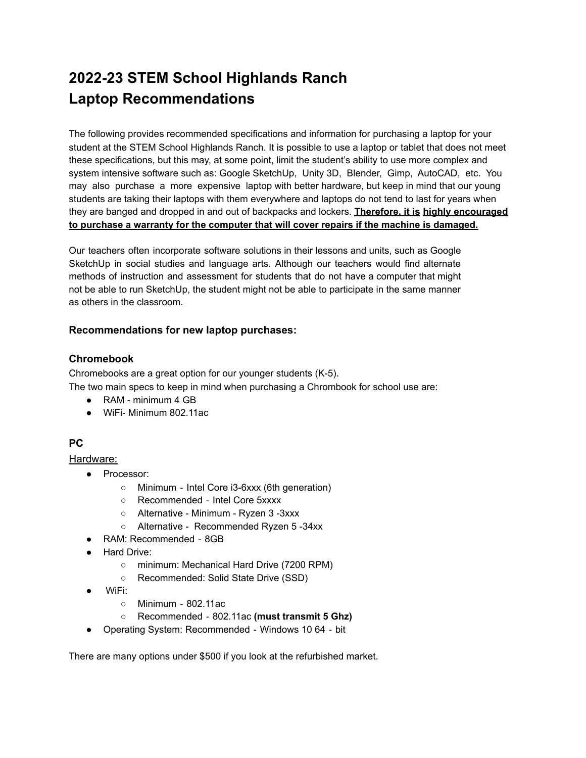# **2022-23 STEM School Highlands Ranch Laptop Recommendations**

The following provides recommended specifications and information for purchasing a laptop for your student at the STEM School Highlands Ranch. It is possible to use a laptop or tablet that does not meet these specifications, but this may, at some point, limit the student's ability to use more complex and system intensive software such as: Google SketchUp, Unity 3D, Blender, Gimp, AutoCAD, etc. You may also purchase a more expensive laptop with better hardware, but keep in mind that our young students are taking their laptops with them everywhere and laptops do not tend to last for years when they are banged and dropped in and out of backpacks and lockers. **Therefore, it is highly encouraged to purchase a warranty for the computer that will cover repairs if the machine is damaged.**

Our teachers often incorporate software solutions in their lessons and units, such as Google SketchUp in social studies and language arts. Although our teachers would find alternate methods of instruction and assessment for students that do not have a computer that might not be able to run SketchUp, the student might not be able to participate in the same manner as others in the classroom.

## **Recommendations for new laptop purchases:**

# **Chromebook**

Chromebooks are a great option for our younger students (K-5). The two main specs to keep in mind when purchasing a Chrombook for school use are:

- RAM minimum 4 GB
- WiFi- Minimum 802.11ac

# **PC**

Hardware:

- Processor:
	- Minimum ‐ Intel Core i3-6xxx (6th generation)
	- Recommended ‐ Intel Core 5xxxx
	- Alternative Minimum Ryzen 3 -3xxx
	- Alternative Recommended Ryzen 5 -34xx
- RAM: Recommended 8GB
- Hard Drive:
	- minimum: Mechanical Hard Drive (7200 RPM)
	- Recommended: Solid State Drive (SSD)
- WiFi:
	- Minimum 802.11ac
	- Recommended ‐ 802.11ac **(must transmit 5 Ghz)**
- Operating System: Recommended ‐ Windows 10 64 ‐ bit

There are many options under \$500 if you look at the refurbished market.